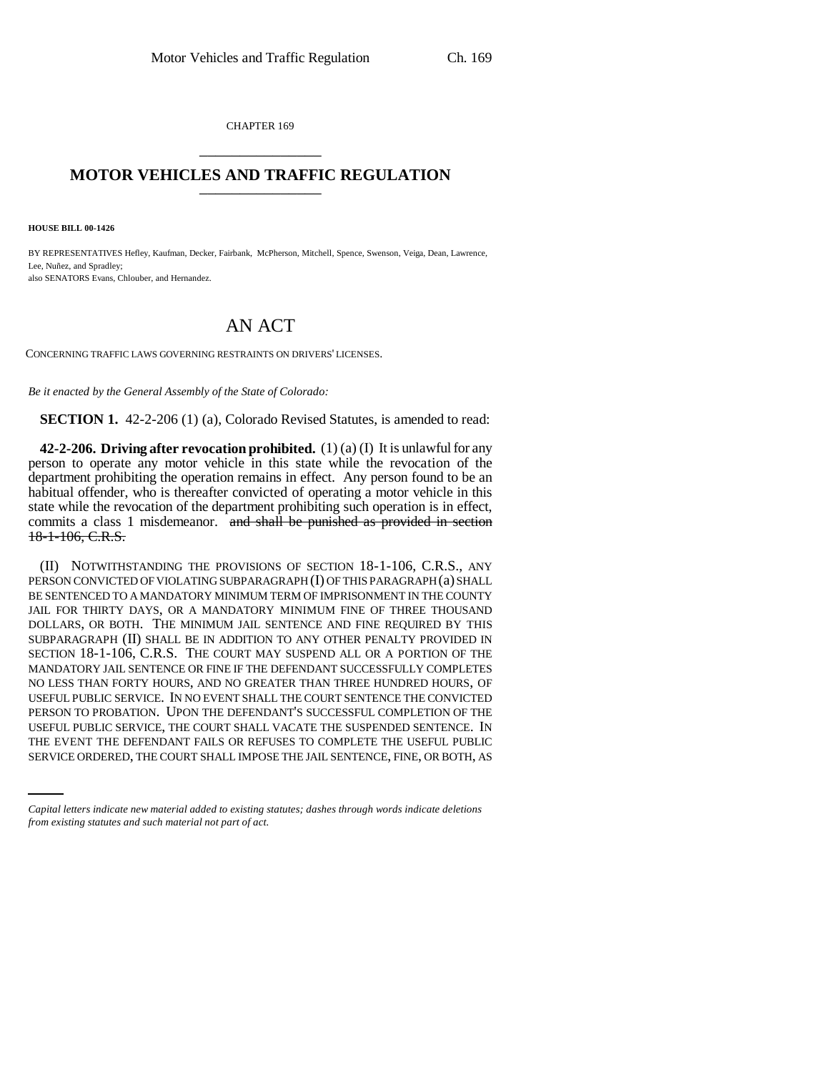CHAPTER 169 \_\_\_\_\_\_\_\_\_\_\_\_\_\_\_

## **MOTOR VEHICLES AND TRAFFIC REGULATION**

**HOUSE BILL 00-1426** 

BY REPRESENTATIVES Hefley, Kaufman, Decker, Fairbank, McPherson, Mitchell, Spence, Swenson, Veiga, Dean, Lawrence, Lee, Nuñez, and Spradley; also SENATORS Evans, Chlouber, and Hernandez.

## AN ACT

CONCERNING TRAFFIC LAWS GOVERNING RESTRAINTS ON DRIVERS' LICENSES.

*Be it enacted by the General Assembly of the State of Colorado:*

**SECTION 1.** 42-2-206 (1) (a), Colorado Revised Statutes, is amended to read:

**42-2-206. Driving after revocation prohibited.** (1) (a) (I) It is unlawful for any person to operate any motor vehicle in this state while the revocation of the department prohibiting the operation remains in effect. Any person found to be an habitual offender, who is thereafter convicted of operating a motor vehicle in this state while the revocation of the department prohibiting such operation is in effect, commits a class 1 misdemeanor. and shall be punished as provided in section 18-1-106, C.R.S.

USEFUL PUBLIC SERVICE, THE COURT SHALL VACATE THE SUSPENDED SENTENCE. IN (II) NOTWITHSTANDING THE PROVISIONS OF SECTION 18-1-106, C.R.S., ANY PERSON CONVICTED OF VIOLATING SUBPARAGRAPH (I) OF THIS PARAGRAPH (a) SHALL BE SENTENCED TO A MANDATORY MINIMUM TERM OF IMPRISONMENT IN THE COUNTY JAIL FOR THIRTY DAYS, OR A MANDATORY MINIMUM FINE OF THREE THOUSAND DOLLARS, OR BOTH. THE MINIMUM JAIL SENTENCE AND FINE REQUIRED BY THIS SUBPARAGRAPH (II) SHALL BE IN ADDITION TO ANY OTHER PENALTY PROVIDED IN SECTION 18-1-106, C.R.S. THE COURT MAY SUSPEND ALL OR A PORTION OF THE MANDATORY JAIL SENTENCE OR FINE IF THE DEFENDANT SUCCESSFULLY COMPLETES NO LESS THAN FORTY HOURS, AND NO GREATER THAN THREE HUNDRED HOURS, OF USEFUL PUBLIC SERVICE. IN NO EVENT SHALL THE COURT SENTENCE THE CONVICTED PERSON TO PROBATION. UPON THE DEFENDANT'S SUCCESSFUL COMPLETION OF THE THE EVENT THE DEFENDANT FAILS OR REFUSES TO COMPLETE THE USEFUL PUBLIC SERVICE ORDERED, THE COURT SHALL IMPOSE THE JAIL SENTENCE, FINE, OR BOTH, AS

*Capital letters indicate new material added to existing statutes; dashes through words indicate deletions from existing statutes and such material not part of act.*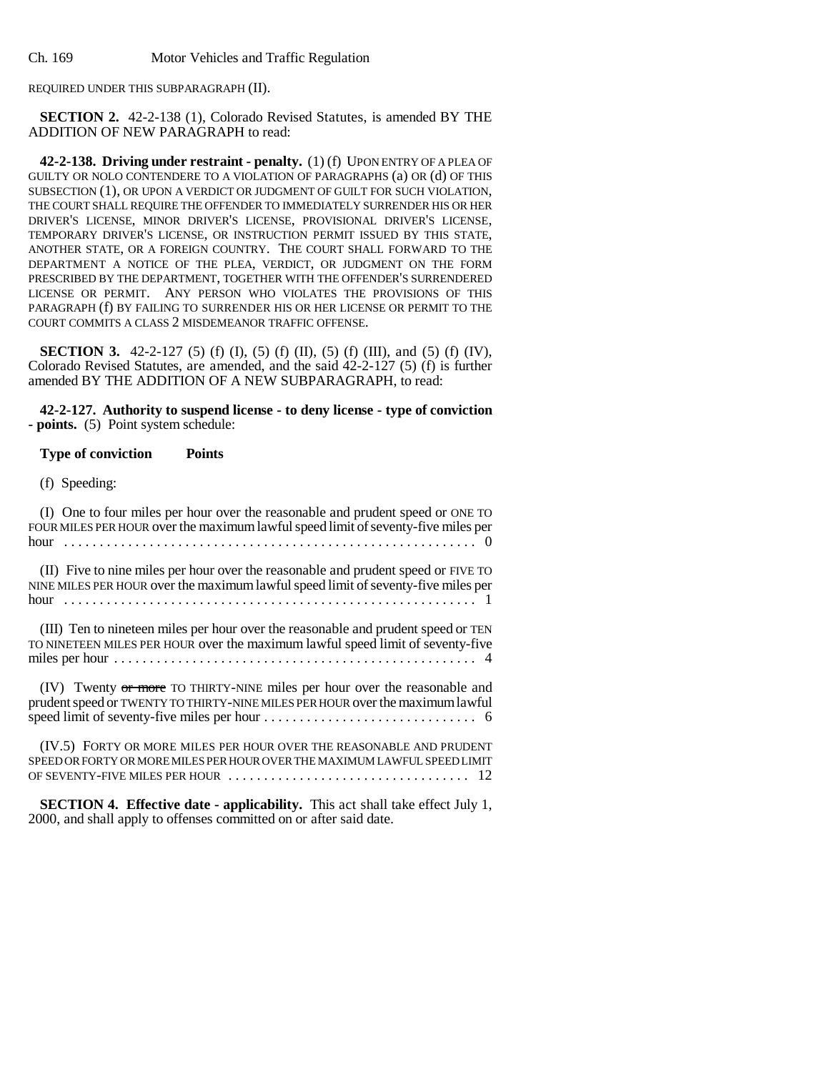Ch. 169 Motor Vehicles and Traffic Regulation

REQUIRED UNDER THIS SUBPARAGRAPH (II).

**SECTION 2.** 42-2-138 (1), Colorado Revised Statutes, is amended BY THE ADDITION OF NEW PARAGRAPH to read:

**42-2-138. Driving under restraint - penalty.** (1) (f) UPON ENTRY OF A PLEA OF GUILTY OR NOLO CONTENDERE TO A VIOLATION OF PARAGRAPHS (a) OR (d) OF THIS SUBSECTION (1), OR UPON A VERDICT OR JUDGMENT OF GUILT FOR SUCH VIOLATION, THE COURT SHALL REQUIRE THE OFFENDER TO IMMEDIATELY SURRENDER HIS OR HER DRIVER'S LICENSE, MINOR DRIVER'S LICENSE, PROVISIONAL DRIVER'S LICENSE, TEMPORARY DRIVER'S LICENSE, OR INSTRUCTION PERMIT ISSUED BY THIS STATE, ANOTHER STATE, OR A FOREIGN COUNTRY. THE COURT SHALL FORWARD TO THE DEPARTMENT A NOTICE OF THE PLEA, VERDICT, OR JUDGMENT ON THE FORM PRESCRIBED BY THE DEPARTMENT, TOGETHER WITH THE OFFENDER'S SURRENDERED LICENSE OR PERMIT. ANY PERSON WHO VIOLATES THE PROVISIONS OF THIS PARAGRAPH (f) BY FAILING TO SURRENDER HIS OR HER LICENSE OR PERMIT TO THE COURT COMMITS A CLASS 2 MISDEMEANOR TRAFFIC OFFENSE.

**SECTION 3.** 42-2-127 (5) (f) (I), (5) (f) (II), (5) (f) (III), and (5) (f) (IV), Colorado Revised Statutes, are amended, and the said 42-2-127 (5) (f) is further amended BY THE ADDITION OF A NEW SUBPARAGRAPH, to read:

**42-2-127. Authority to suspend license - to deny license - type of conviction - points.** (5) Point system schedule:

## **Type of conviction Points**

(f) Speeding:

(I) One to four miles per hour over the reasonable and prudent speed or ONE TO FOUR MILES PER HOUR over the maximum lawful speed limit of seventy-five miles per hour .......................................................... 0

(II) Five to nine miles per hour over the reasonable and prudent speed or FIVE TO NINE MILES PER HOUR over the maximum lawful speed limit of seventy-five miles per hour .......................................................... 1

(III) Ten to nineteen miles per hour over the reasonable and prudent speed or TEN TO NINETEEN MILES PER HOUR over the maximum lawful speed limit of seventy-five miles per hour ................................................... 4

(IV) Twenty or more TO THIRTY-NINE miles per hour over the reasonable and prudent speed or TWENTY TO THIRTY-NINE MILES PER HOUR over the maximum lawful speed limit of seventy-five miles per hour .............................. 6

(IV.5) FORTY OR MORE MILES PER HOUR OVER THE REASONABLE AND PRUDENT SPEED OR FORTY OR MORE MILES PER HOUR OVER THE MAXIMUM LAWFUL SPEED LIMIT OF SEVENTY-FIVE MILES PER HOUR . . . . . . . . . . . . . . . . . . . . . . . . . . . . . . . . . . 12

**SECTION 4. Effective date - applicability.** This act shall take effect July 1, 2000, and shall apply to offenses committed on or after said date.